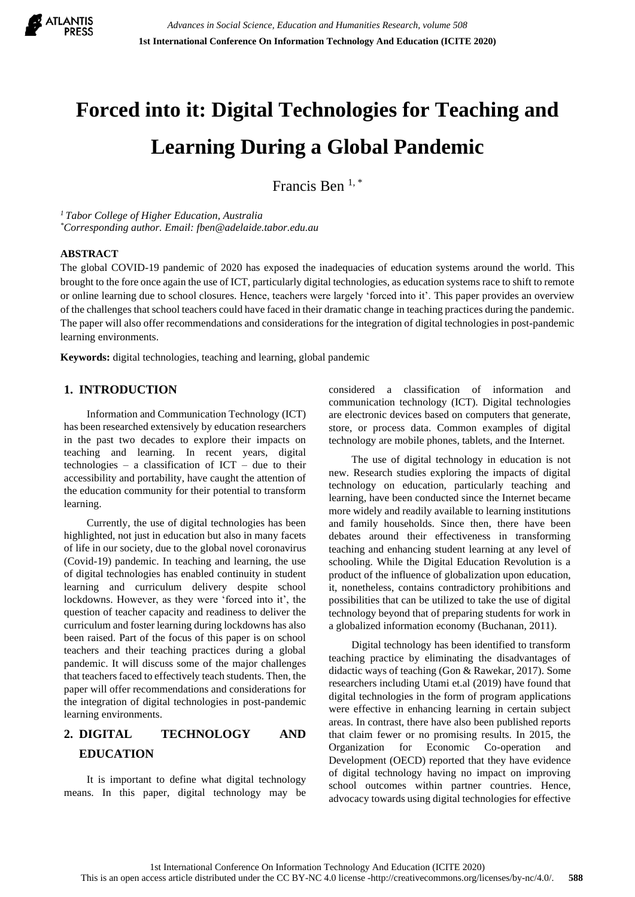

# **Forced into it: Digital Technologies for Teaching and Learning During a Global Pandemic**

Francis Ben  $1, *$ 

*<sup>1</sup>Tabor College of Higher Education, Australia \*Corresponding author. Email: fben@adelaide.tabor.edu.au*

#### **ABSTRACT**

The global COVID-19 pandemic of 2020 has exposed the inadequacies of education systems around the world. This brought to the fore once again the use of ICT, particularly digital technologies, as education systems race to shift to remote or online learning due to school closures. Hence, teachers were largely 'forced into it'. This paper provides an overview of the challenges that school teachers could have faced in their dramatic change in teaching practices during the pandemic. The paper will also offer recommendations and considerations for the integration of digital technologies in post-pandemic learning environments.

**Keywords:** digital technologies, teaching and learning, global pandemic

## **1. INTRODUCTION**

Information and Communication Technology (ICT) has been researched extensively by education researchers in the past two decades to explore their impacts on teaching and learning. In recent years, digital technologies – a classification of  $ICT$  – due to their accessibility and portability, have caught the attention of the education community for their potential to transform learning.

Currently, the use of digital technologies has been highlighted, not just in education but also in many facets of life in our society, due to the global novel coronavirus (Covid-19) pandemic. In teaching and learning, the use of digital technologies has enabled continuity in student learning and curriculum delivery despite school lockdowns. However, as they were 'forced into it', the question of teacher capacity and readiness to deliver the curriculum and foster learning during lockdowns has also been raised. Part of the focus of this paper is on school teachers and their teaching practices during a global pandemic. It will discuss some of the major challenges that teachers faced to effectively teach students. Then, the paper will offer recommendations and considerations for the integration of digital technologies in post-pandemic learning environments.

# **2. DIGITAL TECHNOLOGY AND EDUCATION**

It is important to define what digital technology means. In this paper, digital technology may be considered a classification of information and communication technology (ICT). Digital technologies are electronic devices based on computers that generate, store, or process data. Common examples of digital technology are mobile phones, tablets, and the Internet.

The use of digital technology in education is not new. Research studies exploring the impacts of digital technology on education, particularly teaching and learning, have been conducted since the Internet became more widely and readily available to learning institutions and family households. Since then, there have been debates around their effectiveness in transforming teaching and enhancing student learning at any level of schooling. While the Digital Education Revolution is a product of the influence of globalization upon education, it, nonetheless, contains contradictory prohibitions and possibilities that can be utilized to take the use of digital technology beyond that of preparing students for work in a globalized information economy (Buchanan, 2011).

Digital technology has been identified to transform teaching practice by eliminating the disadvantages of didactic ways of teaching (Gon & Rawekar, 2017). Some researchers including Utami et.al (2019) have found that digital technologies in the form of program applications were effective in enhancing learning in certain subject areas. In contrast, there have also been published reports that claim fewer or no promising results. In 2015, the Organization for Economic Co-operation and Development (OECD) reported that they have evidence of digital technology having no impact on improving school outcomes within partner countries. Hence, advocacy towards using digital technologies for effective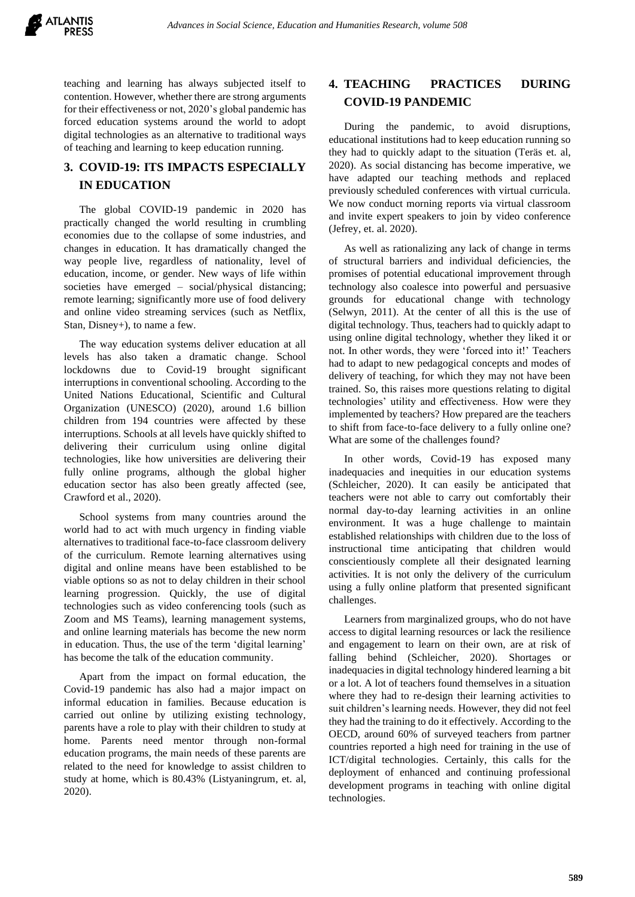

teaching and learning has always subjected itself to contention. However, whether there are strong arguments for their effectiveness or not, 2020's global pandemic has forced education systems around the world to adopt digital technologies as an alternative to traditional ways of teaching and learning to keep education running.

# **3. COVID-19: ITS IMPACTS ESPECIALLY IN EDUCATION**

The global COVID-19 pandemic in 2020 has practically changed the world resulting in crumbling economies due to the collapse of some industries, and changes in education. It has dramatically changed the way people live, regardless of nationality, level of education, income, or gender. New ways of life within societies have emerged – social/physical distancing; remote learning; significantly more use of food delivery and online video streaming services (such as Netflix, Stan, Disney+), to name a few.

The way education systems deliver education at all levels has also taken a dramatic change. School lockdowns due to Covid-19 brought significant interruptions in conventional schooling. According to the United Nations Educational, Scientific and Cultural Organization (UNESCO) (2020), around 1.6 billion children from 194 countries were affected by these interruptions. Schools at all levels have quickly shifted to delivering their curriculum using online digital technologies, like how universities are delivering their fully online programs, although the global higher education sector has also been greatly affected (see, Crawford et al., 2020).

School systems from many countries around the world had to act with much urgency in finding viable alternatives to traditional face-to-face classroom delivery of the curriculum. Remote learning alternatives using digital and online means have been established to be viable options so as not to delay children in their school learning progression. Quickly, the use of digital technologies such as video conferencing tools (such as Zoom and MS Teams), learning management systems, and online learning materials has become the new norm in education. Thus, the use of the term 'digital learning' has become the talk of the education community.

Apart from the impact on formal education, the Covid-19 pandemic has also had a major impact on informal education in families. Because education is carried out online by utilizing existing technology, parents have a role to play with their children to study at home. Parents need mentor through non-formal education programs, the main needs of these parents are related to the need for knowledge to assist children to study at home, which is 80.43% (Listyaningrum, et. al, 2020).

## **4. TEACHING PRACTICES DURING COVID-19 PANDEMIC**

During the pandemic, to avoid disruptions, educational institutions had to keep education running so they had to quickly adapt to the situation (Teräs et. al, 2020). As social distancing has become imperative, we have adapted our teaching methods and replaced previously scheduled conferences with virtual curricula. We now conduct morning reports via virtual classroom and invite expert speakers to join by video conference (Jefrey, et. al. 2020).

As well as rationalizing any lack of change in terms of structural barriers and individual deficiencies, the promises of potential educational improvement through technology also coalesce into powerful and persuasive grounds for educational change with technology (Selwyn, 2011). At the center of all this is the use of digital technology. Thus, teachers had to quickly adapt to using online digital technology, whether they liked it or not. In other words, they were 'forced into it!' Teachers had to adapt to new pedagogical concepts and modes of delivery of teaching, for which they may not have been trained. So, this raises more questions relating to digital technologies' utility and effectiveness. How were they implemented by teachers? How prepared are the teachers to shift from face-to-face delivery to a fully online one? What are some of the challenges found?

In other words, Covid-19 has exposed many inadequacies and inequities in our education systems (Schleicher, 2020). It can easily be anticipated that teachers were not able to carry out comfortably their normal day-to-day learning activities in an online environment. It was a huge challenge to maintain established relationships with children due to the loss of instructional time anticipating that children would conscientiously complete all their designated learning activities. It is not only the delivery of the curriculum using a fully online platform that presented significant challenges.

Learners from marginalized groups, who do not have access to digital learning resources or lack the resilience and engagement to learn on their own, are at risk of falling behind (Schleicher, 2020). Shortages or inadequacies in digital technology hindered learning a bit or a lot. A lot of teachers found themselves in a situation where they had to re-design their learning activities to suit children's learning needs. However, they did not feel they had the training to do it effectively. According to the OECD, around 60% of surveyed teachers from partner countries reported a high need for training in the use of ICT/digital technologies. Certainly, this calls for the deployment of enhanced and continuing professional development programs in teaching with online digital technologies.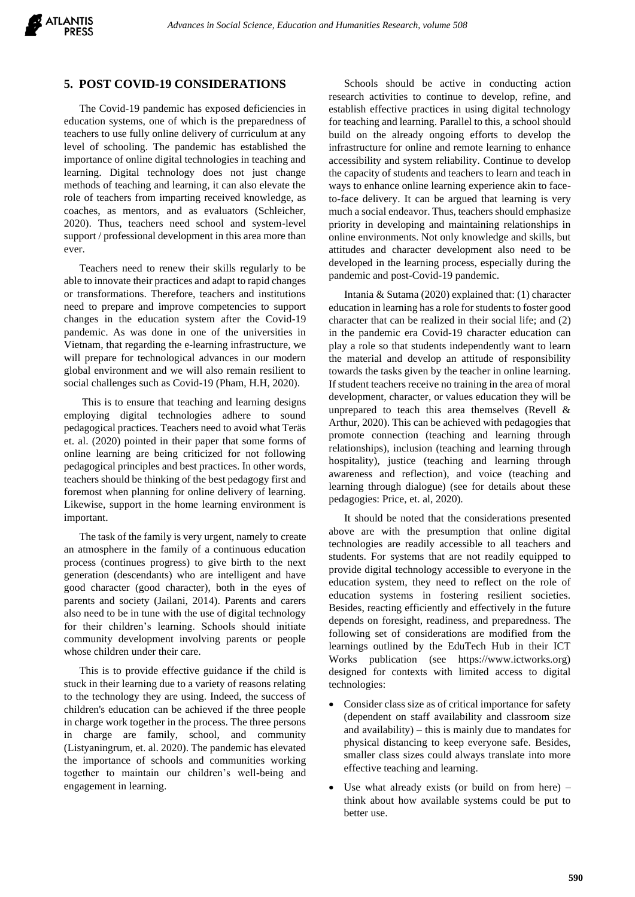

#### **5. POST COVID-19 CONSIDERATIONS**

The Covid-19 pandemic has exposed deficiencies in education systems, one of which is the preparedness of teachers to use fully online delivery of curriculum at any level of schooling. The pandemic has established the importance of online digital technologies in teaching and learning. Digital technology does not just change methods of teaching and learning, it can also elevate the role of teachers from imparting received knowledge, as coaches, as mentors, and as evaluators (Schleicher, 2020). Thus, teachers need school and system-level support / professional development in this area more than ever.

Teachers need to renew their skills regularly to be able to innovate their practices and adapt to rapid changes or transformations. Therefore, teachers and institutions need to prepare and improve competencies to support changes in the education system after the Covid-19 pandemic. As was done in one of the universities in Vietnam, that regarding the e-learning infrastructure, we will prepare for technological advances in our modern global environment and we will also remain resilient to social challenges such as Covid-19 (Pham, H.H, 2020).

This is to ensure that teaching and learning designs employing digital technologies adhere to sound pedagogical practices. Teachers need to avoid what Teräs et. al. (2020) pointed in their paper that some forms of online learning are being criticized for not following pedagogical principles and best practices. In other words, teachers should be thinking of the best pedagogy first and foremost when planning for online delivery of learning. Likewise, support in the home learning environment is important.

The task of the family is very urgent, namely to create an atmosphere in the family of a continuous education process (continues progress) to give birth to the next generation (descendants) who are intelligent and have good character (good character), both in the eyes of parents and society (Jailani, 2014). Parents and carers also need to be in tune with the use of digital technology for their children's learning. Schools should initiate community development involving parents or people whose children under their care.

This is to provide effective guidance if the child is stuck in their learning due to a variety of reasons relating to the technology they are using. Indeed, the success of children's education can be achieved if the three people in charge work together in the process. The three persons in charge are family, school, and community (Listyaningrum, et. al. 2020). The pandemic has elevated the importance of schools and communities working together to maintain our children's well-being and engagement in learning.

Schools should be active in conducting action research activities to continue to develop, refine, and establish effective practices in using digital technology for teaching and learning. Parallel to this, a school should build on the already ongoing efforts to develop the infrastructure for online and remote learning to enhance accessibility and system reliability. Continue to develop the capacity of students and teachers to learn and teach in ways to enhance online learning experience akin to faceto-face delivery. It can be argued that learning is very much a social endeavor. Thus, teachers should emphasize priority in developing and maintaining relationships in online environments. Not only knowledge and skills, but attitudes and character development also need to be developed in the learning process, especially during the pandemic and post-Covid-19 pandemic.

Intania & Sutama (2020) explained that: (1) character education in learning has a role for students to foster good character that can be realized in their social life; and (2) in the pandemic era Covid-19 character education can play a role so that students independently want to learn the material and develop an attitude of responsibility towards the tasks given by the teacher in online learning. If student teachers receive no training in the area of moral development, character, or values education they will be unprepared to teach this area themselves (Revell & Arthur, 2020). This can be achieved with pedagogies that promote connection (teaching and learning through relationships), inclusion (teaching and learning through hospitality), justice (teaching and learning through awareness and reflection), and voice (teaching and learning through dialogue) (see for details about these pedagogies: Price, et. al, 2020).

It should be noted that the considerations presented above are with the presumption that online digital technologies are readily accessible to all teachers and students. For systems that are not readily equipped to provide digital technology accessible to everyone in the education system, they need to reflect on the role of education systems in fostering resilient societies. Besides, reacting efficiently and effectively in the future depends on foresight, readiness, and preparedness. The following set of considerations are modified from the learnings outlined by the EduTech Hub in their ICT Works publication (see https://www.ictworks.org) designed for contexts with limited access to digital technologies:

- Consider class size as of critical importance for safety (dependent on staff availability and classroom size and availability) – this is mainly due to mandates for physical distancing to keep everyone safe. Besides, smaller class sizes could always translate into more effective teaching and learning.
- Use what already exists (or build on from here)  $$ think about how available systems could be put to better use.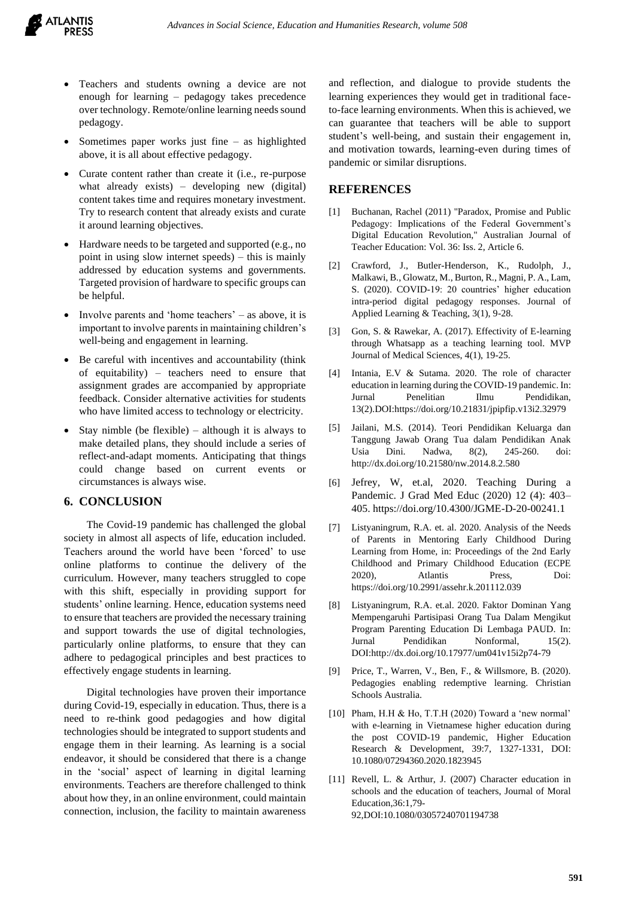

- Teachers and students owning a device are not enough for learning – pedagogy takes precedence over technology. Remote/online learning needs sound pedagogy.
- Sometimes paper works just fine  $-$  as highlighted above, it is all about effective pedagogy.
- Curate content rather than create it (i.e., re-purpose what already exists) – developing new (digital) content takes time and requires monetary investment. Try to research content that already exists and curate it around learning objectives.
- Hardware needs to be targeted and supported (e.g., no point in using slow internet speeds) – this is mainly addressed by education systems and governments. Targeted provision of hardware to specific groups can be helpful.
- Involve parents and 'home teachers' as above, it is important to involve parents in maintaining children's well-being and engagement in learning.
- Be careful with incentives and accountability (think of equitability) – teachers need to ensure that assignment grades are accompanied by appropriate feedback. Consider alternative activities for students who have limited access to technology or electricity.
- Stay nimble (be flexible) although it is always to make detailed plans, they should include a series of reflect-and-adapt moments. Anticipating that things could change based on current events or circumstances is always wise.

## **6. CONCLUSION**

The Covid-19 pandemic has challenged the global society in almost all aspects of life, education included. Teachers around the world have been 'forced' to use online platforms to continue the delivery of the curriculum. However, many teachers struggled to cope with this shift, especially in providing support for students' online learning. Hence, education systems need to ensure that teachers are provided the necessary training and support towards the use of digital technologies, particularly online platforms, to ensure that they can adhere to pedagogical principles and best practices to effectively engage students in learning.

Digital technologies have proven their importance during Covid-19, especially in education. Thus, there is a need to re-think good pedagogies and how digital technologies should be integrated to support students and engage them in their learning. As learning is a social endeavor, it should be considered that there is a change in the 'social' aspect of learning in digital learning environments. Teachers are therefore challenged to think about how they, in an online environment, could maintain connection, inclusion, the facility to maintain awareness and reflection, and dialogue to provide students the learning experiences they would get in traditional faceto-face learning environments. When this is achieved, we can guarantee that teachers will be able to support student's well-being, and sustain their engagement in, and motivation towards, learning-even during times of pandemic or similar disruptions.

#### **REFERENCES**

- [1] Buchanan, Rachel (2011) "Paradox, Promise and Public Pedagogy: Implications of the Federal Government's Digital Education Revolution," Australian Journal of Teacher Education: Vol. 36: Iss. 2, Article 6.
- [2] Crawford, J., Butler-Henderson, K., Rudolph, J., Malkawi, B., Glowatz, M., Burton, R., Magni, P. A., Lam, S. (2020). COVID-19: 20 countries' higher education intra-period digital pedagogy responses. Journal of Applied Learning & Teaching, 3(1), 9-28.
- [3] Gon, S. & Rawekar, A. (2017). Effectivity of E-learning through Whatsapp as a teaching learning tool. MVP Journal of Medical Sciences, 4(1), 19-25.
- [4] Intania, E.V & Sutama. 2020. The role of character education in learning during the COVID-19 pandemic. In: Jurnal Penelitian Ilmu Pendidikan, 13(2).DOI:https://doi.org/10.21831/jpipfip.v13i2.32979
- [5] Jailani, M.S. (2014). Teori Pendidikan Keluarga dan Tanggung Jawab Orang Tua dalam Pendidikan Anak Usia Dini. Nadwa, 8(2), 245-260. doi: <http://dx.doi.org/10.21580/nw.2014.8.2.580>
- [6] Jefrey, W, et.al, 2020. Teaching During a Pandemic. J Grad Med Educ (2020) 12 (4): 403– 405. https://doi.org/10.4300/JGME-D-20-00241.1
- [7] Listyaningrum, R.A. et. al. 2020. Analysis of the Needs of Parents in Mentoring Early Childhood During Learning from Home, in: Proceedings of the 2nd Early Childhood and Primary Childhood Education (ECPE 2020), Atlantis Press, Doi: https://doi.org/10.2991/assehr.k.201112.039
- [8] Listyaningrum, R.A. et.al. 2020. Faktor Dominan Yang Mempengaruhi Partisipasi Orang Tua Dalam Mengikut Program Parenting Education Di Lembaga PAUD. In: Jurnal Pendidikan Nonformal, 15(2). DOI:http://dx.doi.org/10.17977/um041v15i2p74-79
- [9] Price, T., Warren, V., Ben, F., & Willsmore, B. (2020). Pedagogies enabling redemptive learning. Christian Schools Australia.
- [10] Pham, H.H & Ho, T.T.H (2020) Toward a 'new normal' with e-learning in Vietnamese higher education during the post COVID-19 pandemic, Higher Education Research & Development, 39:7, 1327-1331, DOI: 10.1080/07294360.2020.1823945
- [11] Revell, L. & Arthur, J. (2007) Character education in schools and the education of teachers, Journal of Moral Education, 36:1, 79-92,DOI:10.1080/03057240701194738